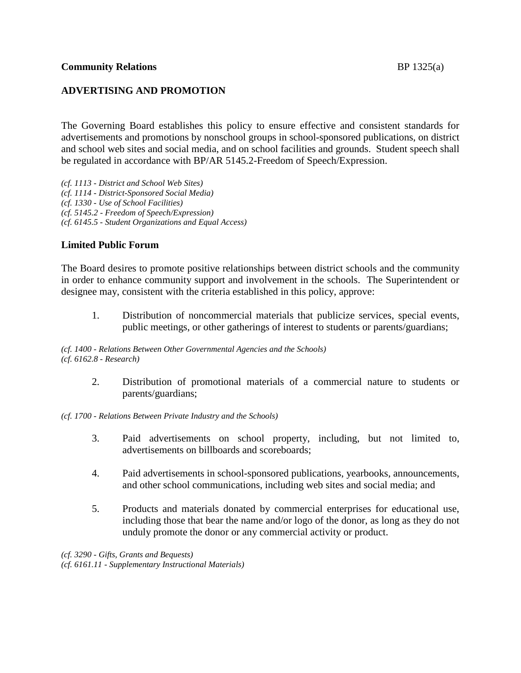## **ADVERTISING AND PROMOTION**

The Governing Board establishes this policy to ensure effective and consistent standards for advertisements and promotions by nonschool groups in school-sponsored publications, on district and school web sites and social media, and on school facilities and grounds. Student speech shall be regulated in accordance with BP/AR 5145.2-Freedom of Speech/Expression.

*(cf. 1113 - District and School Web Sites) (cf. 1114 - District-Sponsored Social Media) (cf. 1330 - Use of School Facilities) (cf. 5145.2 - Freedom of Speech/Expression) (cf. 6145.5 - Student Organizations and Equal Access)*

## **Limited Public Forum**

The Board desires to promote positive relationships between district schools and the community in order to enhance community support and involvement in the schools. The Superintendent or designee may, consistent with the criteria established in this policy, approve:

1. Distribution of noncommercial materials that publicize services, special events, public meetings, or other gatherings of interest to students or parents/guardians;

*(cf. 1400 - Relations Between Other Governmental Agencies and the Schools) (cf. 6162.8 - Research)*

> 2. Distribution of promotional materials of a commercial nature to students or parents/guardians;

*(cf. 1700 - Relations Between Private Industry and the Schools)*

- 3. Paid advertisements on school property, including, but not limited to, advertisements on billboards and scoreboards;
- 4. Paid advertisements in school-sponsored publications, yearbooks, announcements, and other school communications, including web sites and social media; and
- 5. Products and materials donated by commercial enterprises for educational use, including those that bear the name and/or logo of the donor, as long as they do not unduly promote the donor or any commercial activity or product.

*(cf. 3290 - Gifts, Grants and Bequests) (cf. 6161.11 - Supplementary Instructional Materials)*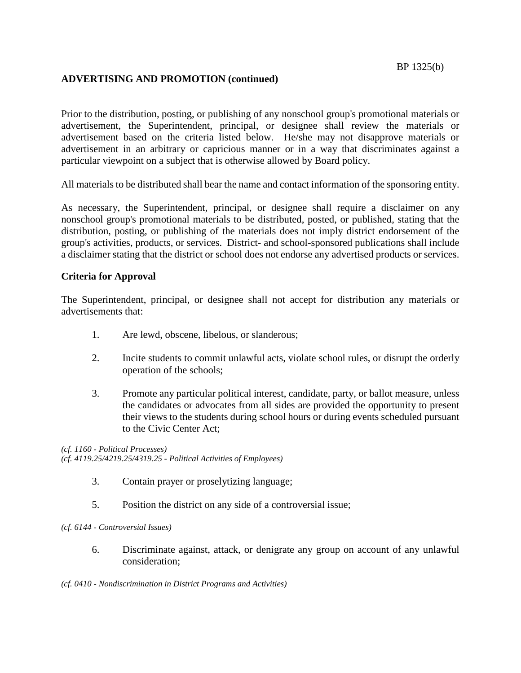# **ADVERTISING AND PROMOTION (continued)**

BP 1325(b)

Prior to the distribution, posting, or publishing of any nonschool group's promotional materials or advertisement, the Superintendent, principal, or designee shall review the materials or advertisement based on the criteria listed below. He/she may not disapprove materials or advertisement in an arbitrary or capricious manner or in a way that discriminates against a particular viewpoint on a subject that is otherwise allowed by Board policy.

All materials to be distributed shall bear the name and contact information of the sponsoring entity.

As necessary, the Superintendent, principal, or designee shall require a disclaimer on any nonschool group's promotional materials to be distributed, posted, or published, stating that the distribution, posting, or publishing of the materials does not imply district endorsement of the group's activities, products, or services. District- and school-sponsored publications shall include a disclaimer stating that the district or school does not endorse any advertised products or services.

## **Criteria for Approval**

The Superintendent, principal, or designee shall not accept for distribution any materials or advertisements that:

- 1. Are lewd, obscene, libelous, or slanderous;
- 2. Incite students to commit unlawful acts, violate school rules, or disrupt the orderly operation of the schools;
- 3. Promote any particular political interest, candidate, party, or ballot measure, unless the candidates or advocates from all sides are provided the opportunity to present their views to the students during school hours or during events scheduled pursuant to the Civic Center Act;

*(cf. 1160 - Political Processes) (cf. 4119.25/4219.25/4319.25 - Political Activities of Employees)*

- 3. Contain prayer or proselytizing language;
- 5. Position the district on any side of a controversial issue;

#### *(cf. 6144 - Controversial Issues)*

6. Discriminate against, attack, or denigrate any group on account of any unlawful consideration;

*(cf. 0410 - Nondiscrimination in District Programs and Activities)*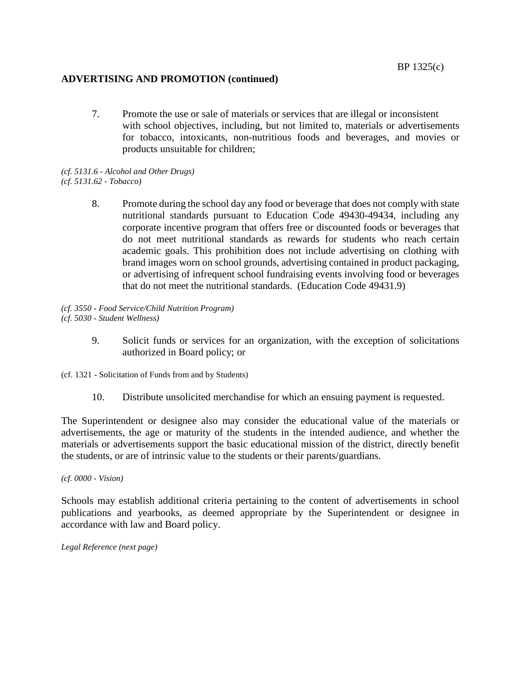#### **ADVERTISING AND PROMOTION (continued)**

7. Promote the use or sale of materials or services that are illegal or inconsistent with school objectives, including, but not limited to, materials or advertisements for tobacco, intoxicants, non-nutritious foods and beverages, and movies or products unsuitable for children;

*(cf. 5131.6 - Alcohol and Other Drugs) (cf. 5131.62 - Tobacco)*

> 8. Promote during the school day any food or beverage that does not comply with state nutritional standards pursuant to Education Code 49430-49434, including any corporate incentive program that offers free or discounted foods or beverages that do not meet nutritional standards as rewards for students who reach certain academic goals. This prohibition does not include advertising on clothing with brand images worn on school grounds, advertising contained in product packaging, or advertising of infrequent school fundraising events involving food or beverages that do not meet the nutritional standards. (Education Code 49431.9)

*(cf. 3550 - Food Service/Child Nutrition Program) (cf. 5030 - Student Wellness)*

> 9. Solicit funds or services for an organization, with the exception of solicitations authorized in Board policy; or

(cf. 1321 - Solicitation of Funds from and by Students)

10. Distribute unsolicited merchandise for which an ensuing payment is requested.

The Superintendent or designee also may consider the educational value of the materials or advertisements, the age or maturity of the students in the intended audience, and whether the materials or advertisements support the basic educational mission of the district, directly benefit the students, or are of intrinsic value to the students or their parents/guardians.

*(cf. 0000 - Vision)*

Schools may establish additional criteria pertaining to the content of advertisements in school publications and yearbooks, as deemed appropriate by the Superintendent or designee in accordance with law and Board policy.

*Legal Reference (next page)*